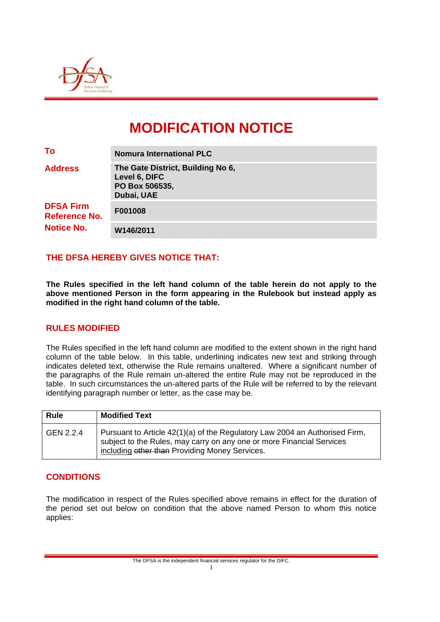

# **MODIFICATION NOTICE**

| To                                                            | <b>Nomura International PLC</b>                                                    |  |
|---------------------------------------------------------------|------------------------------------------------------------------------------------|--|
| <b>Address</b>                                                | The Gate District, Building No 6,<br>Level 6, DIFC<br>PO Box 506535,<br>Dubai, UAE |  |
| <b>DFSA Firm</b><br><b>Reference No.</b><br><b>Notice No.</b> | F001008                                                                            |  |
|                                                               | W146/2011                                                                          |  |

## **THE DFSA HEREBY GIVES NOTICE THAT:**

**The Rules specified in the left hand column of the table herein do not apply to the above mentioned Person in the form appearing in the Rulebook but instead apply as modified in the right hand column of the table.** 

#### **RULES MODIFIED**

The Rules specified in the left hand column are modified to the extent shown in the right hand column of the table below. In this table, underlining indicates new text and striking through indicates deleted text, otherwise the Rule remains unaltered. Where a significant number of the paragraphs of the Rule remain un-altered the entire Rule may not be reproduced in the table. In such circumstances the un-altered parts of the Rule will be referred to by the relevant identifying paragraph number or letter, as the case may be.

| <b>Rule</b> | <b>Modified Text</b>                                                                                                                                                                                   |
|-------------|--------------------------------------------------------------------------------------------------------------------------------------------------------------------------------------------------------|
| GEN 2.2.4   | Pursuant to Article 42(1)(a) of the Regulatory Law 2004 an Authorised Firm,<br>subject to the Rules, may carry on any one or more Financial Services<br>including other than Providing Money Services. |

#### **CONDITIONS**

The modification in respect of the Rules specified above remains in effect for the duration of the period set out below on condition that the above named Person to whom this notice applies: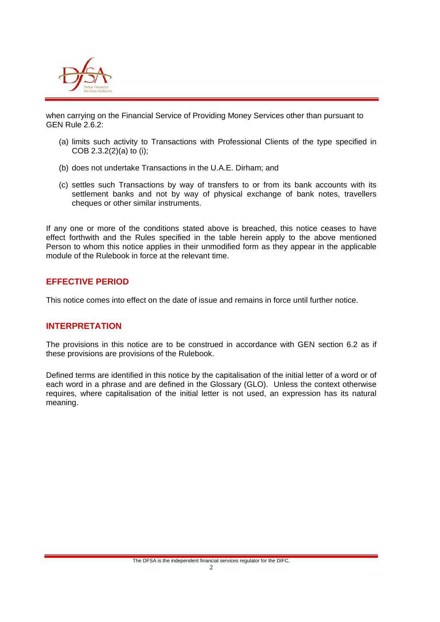

when carrying on the Financial Service of Providing Money Services other than pursuant to GEN Rule 2.6.2:

- (a) limits such activity to Transactions with Professional Clients of the type specified in COB 2.3.2(2)(a) to (i);
- (b) does not undertake Transactions in the U.A.E. Dirham; and
- (c) settles such Transactions by way of transfers to or from its bank accounts with its settlement banks and not by way of physical exchange of bank notes, travellers cheques or other similar instruments.

If any one or more of the conditions stated above is breached, this notice ceases to have effect forthwith and the Rules specified in the table herein apply to the above mentioned Person to whom this notice applies in their unmodified form as they appear in the applicable module of the Rulebook in force at the relevant time.

#### **EFFECTIVE PERIOD**

This notice comes into effect on the date of issue and remains in force until further notice.

#### **INTERPRETATION**

The provisions in this notice are to be construed in accordance with GEN section 6.2 as if these provisions are provisions of the Rulebook.

Defined terms are identified in this notice by the capitalisation of the initial letter of a word or of each word in a phrase and are defined in the Glossary (GLO). Unless the context otherwise requires, where capitalisation of the initial letter is not used, an expression has its natural meaning.